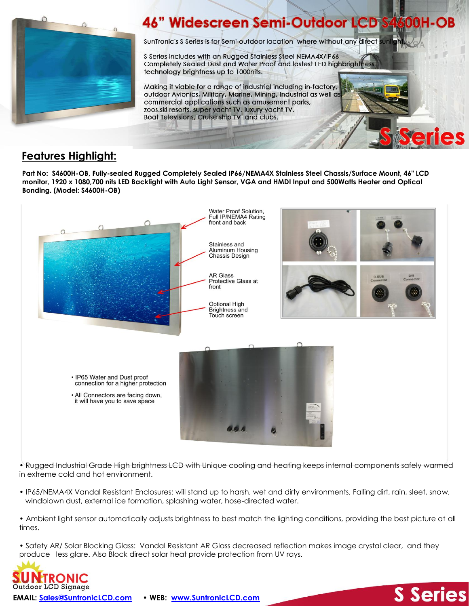

## **46" Widescreen Semi-Outdoor LCD** 00H-OB

SunTronic's S Series is for Semi-outdoor location where without any direct

S Series includes with an Rugged Stainless Steel NEMA4X/IP66 Completely Sealed Dust and Water Proof and lastest LED highbrightness technology brightness up to 1000nits.

Making it viable for a range of industrial including in-factory, outdoor Avionics, Military, Marine, Mining, Industrial as well as commercial applications such as amusement parks, zoos, ski resorts, super yacht TV, luxury yacht TV, Boat Televisions, Cruise ship TV and clubs.

## **Features Highlight:**

**Part No: S4600H-OB, Fully-sealed Rugged Completely Sealed IP66/NEMA4X Stainless Steel Chassis/Surface Mount, 46" LCD monitor, 1920 x 1080,700 nits LED Backlight with Auto Light Sensor, VGA and HMDI Input and 500Watts Heater and Optical Bonding. (Model: S4600H-OB)**



• Rugged Industrial Grade High brightness LCD with Unique cooling and heating keeps internal components safely warmed in extreme cold and hot environment.

- IP65/NEMA4X Vandal Resistant Enclosures: will stand up to harsh, wet and dirty environments, Falling dirt, rain, sleet, snow, windblown dust, external ice formation, splashing water, hose-directed water.
- Ambient light sensor automatically adjusts brightness to best match the lighting conditions, providing the best picture at all times.

• Safety AR/ Solar Blocking Glass: Vandal Resistant AR Glass decreased reflection makes image crystal clear, and they produce less glare. Also Block direct solar heat provide protection from UV rays.